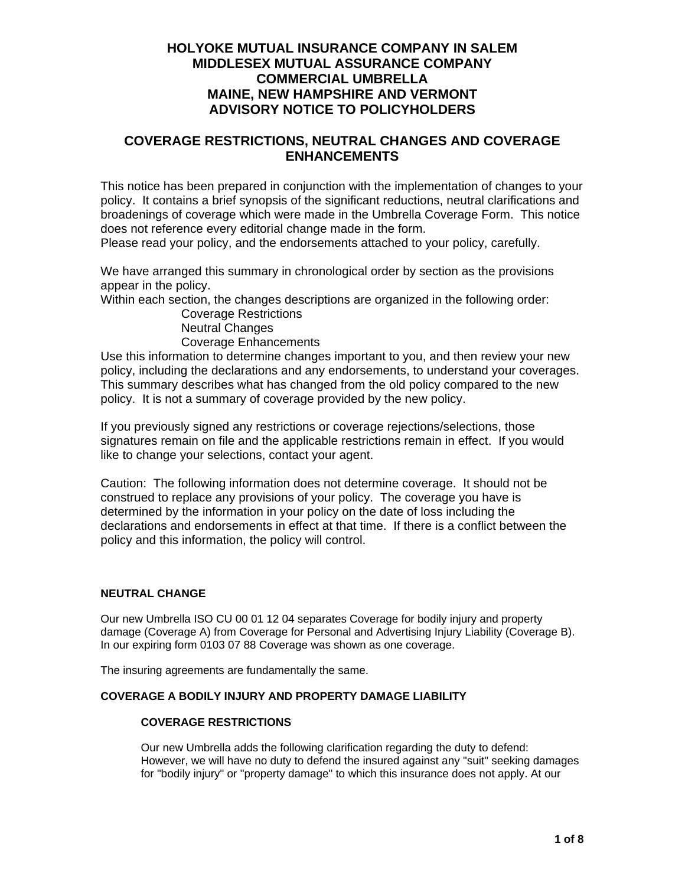## **HOLYOKE MUTUAL INSURANCE COMPANY IN SALEM MIDDLESEX MUTUAL ASSURANCE COMPANY COMMERCIAL UMBRELLA MAINE, NEW HAMPSHIRE AND VERMONT ADVISORY NOTICE TO POLICYHOLDERS**

## **COVERAGE RESTRICTIONS, NEUTRAL CHANGES AND COVERAGE ENHANCEMENTS**

This notice has been prepared in conjunction with the implementation of changes to your policy. It contains a brief synopsis of the significant reductions, neutral clarifications and broadenings of coverage which were made in the Umbrella Coverage Form. This notice does not reference every editorial change made in the form.

Please read your policy, and the endorsements attached to your policy, carefully.

We have arranged this summary in chronological order by section as the provisions appear in the policy.

Within each section, the changes descriptions are organized in the following order:

 Coverage Restrictions Neutral Changes Coverage Enhancements

Use this information to determine changes important to you, and then review your new policy, including the declarations and any endorsements, to understand your coverages. This summary describes what has changed from the old policy compared to the new policy. It is not a summary of coverage provided by the new policy.

If you previously signed any restrictions or coverage rejections/selections, those signatures remain on file and the applicable restrictions remain in effect. If you would like to change your selections, contact your agent.

Caution: The following information does not determine coverage. It should not be construed to replace any provisions of your policy. The coverage you have is determined by the information in your policy on the date of loss including the declarations and endorsements in effect at that time. If there is a conflict between the policy and this information, the policy will control.

## **NEUTRAL CHANGE**

Our new Umbrella ISO CU 00 01 12 04 separates Coverage for bodily injury and property damage (Coverage A) from Coverage for Personal and Advertising Injury Liability (Coverage B). In our expiring form 0103 07 88 Coverage was shown as one coverage.

The insuring agreements are fundamentally the same.

### **COVERAGE A BODILY INJURY AND PROPERTY DAMAGE LIABILITY**

### **COVERAGE RESTRICTIONS**

Our new Umbrella adds the following clarification regarding the duty to defend: However, we will have no duty to defend the insured against any "suit" seeking damages for "bodily injury" or "property damage" to which this insurance does not apply. At our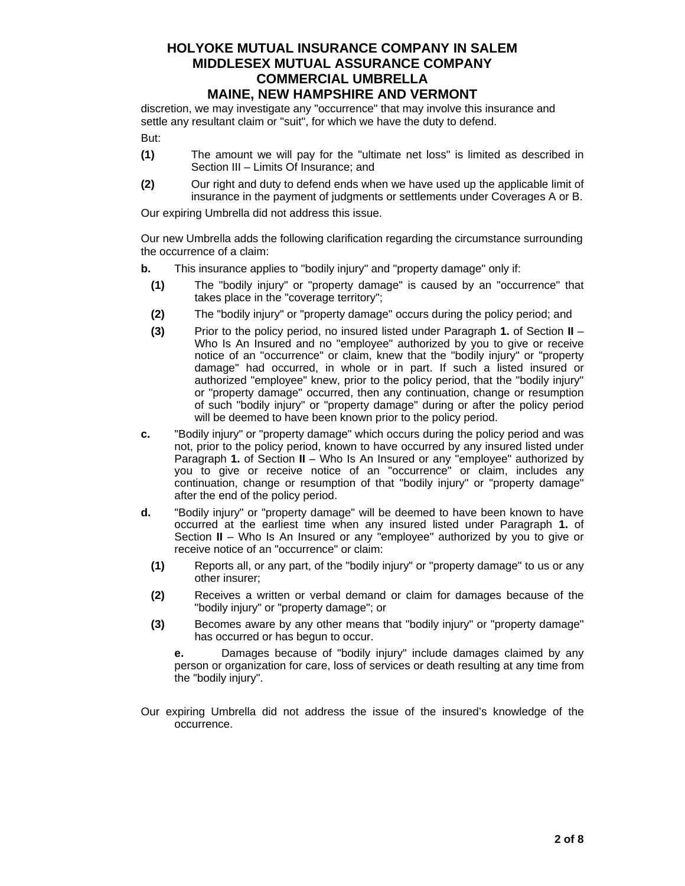discretion, we may investigate any "occurrence" that may involve this insurance and settle any resultant claim or "suit", for which we have the duty to defend. But:

- **(1)** The amount we will pay for the "ultimate net loss" is limited as described in Section III – Limits Of Insurance; and
	- **(2)** Our right and duty to defend ends when we have used up the applicable limit of insurance in the payment of judgments or settlements under Coverages A or B.

Our expiring Umbrella did not address this issue.

Our new Umbrella adds the following clarification regarding the circumstance surrounding the occurrence of a claim:

- **b.** This insurance applies to "bodily injury" and "property damage" only if:
- **(1)** The "bodily injury" or "property damage" is caused by an "occurrence" that takes place in the "coverage territory";
- **(2)** The "bodily injury" or "property damage" occurs during the policy period; and
- **(3)** Prior to the policy period, no insured listed under Paragraph **1.** of Section **II** Who Is An Insured and no "employee" authorized by you to give or receive notice of an "occurrence" or claim, knew that the "bodily injury" or "property damage" had occurred, in whole or in part. If such a listed insured or authorized "employee" knew, prior to the policy period, that the "bodily injury" or "property damage" occurred, then any continuation, change or resumption of such "bodily injury" or "property damage" during or after the policy period will be deemed to have been known prior to the policy period.
- **c.** "Bodily injury" or "property damage" which occurs during the policy period and was not, prior to the policy period, known to have occurred by any insured listed under Paragraph **1.** of Section **II** – Who Is An Insured or any "employee" authorized by you to give or receive notice of an "occurrence" or claim, includes any continuation, change or resumption of that "bodily injury" or "property damage" after the end of the policy period.
- **d.** "Bodily injury" or "property damage" will be deemed to have been known to have occurred at the earliest time when any insured listed under Paragraph **1.** of Section **II** – Who Is An Insured or any "employee" authorized by you to give or receive notice of an "occurrence" or claim:
	- **(1)** Reports all, or any part, of the "bodily injury" or "property damage" to us or any other insurer;
	- **(2)** Receives a written or verbal demand or claim for damages because of the "bodily injury" or "property damage"; or
	- **(3)** Becomes aware by any other means that "bodily injury" or "property damage" has occurred or has begun to occur.

 **e.** Damages because of "bodily injury" include damages claimed by any person or organization for care, loss of services or death resulting at any time from the "bodily injury".

Our expiring Umbrella did not address the issue of the insured's knowledge of the occurrence.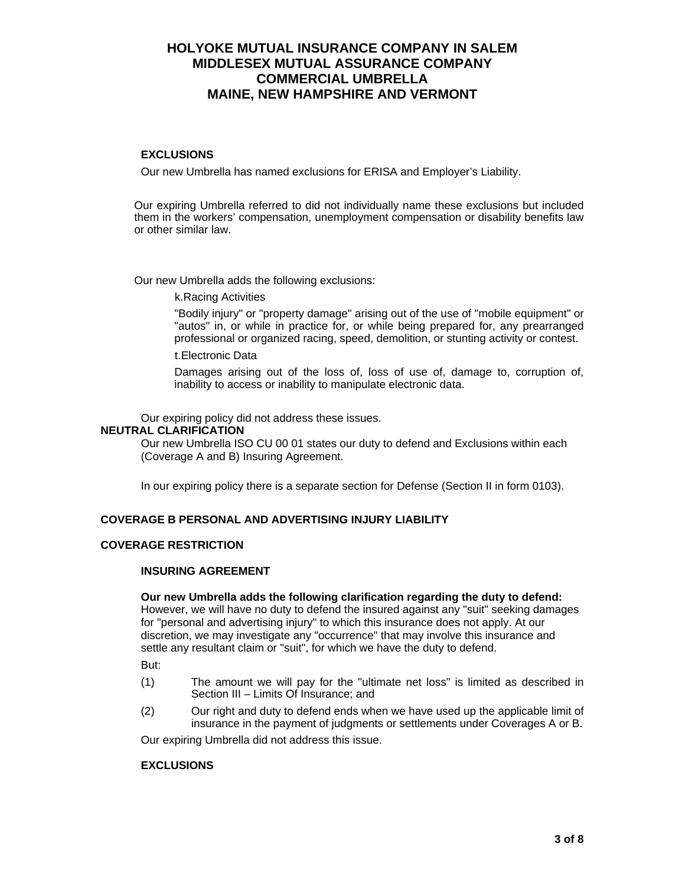### **EXCLUSIONS**

Our new Umbrella has named exclusions for ERISA and Employer's Liability.

 Our expiring Umbrella referred to did not individually name these exclusions but included them in the workers' compensation, unemployment compensation or disability benefits law or other similar law.

Our new Umbrella adds the following exclusions:

k.Racing Activities

"Bodily injury" or "property damage" arising out of the use of "mobile equipment" or "autos" in, or while in practice for, or while being prepared for, any prearranged professional or organized racing, speed, demolition, or stunting activity or contest.

t. Electronic Data

Damages arising out of the loss of, loss of use of, damage to, corruption of, inability to access or inability to manipulate electronic data.

Our expiring policy did not address these issues.

### **NEUTRAL CLARIFICATION**

Our new Umbrella ISO CU 00 01 states our duty to defend and Exclusions within each (Coverage A and B) Insuring Agreement.

In our expiring policy there is a separate section for Defense (Section II in form 0103).

#### **COVERAGE B PERSONAL AND ADVERTISING INJURY LIABILITY**

#### **COVERAGE RESTRICTION**

#### **INSURING AGREEMENT**

#### **Our new Umbrella adds the following clarification regarding the duty to defend:**

However, we will have no duty to defend the insured against any "suit" seeking damages for "personal and advertising injury" to which this insurance does not apply. At our discretion, we may investigate any "occurrence" that may involve this insurance and settle any resultant claim or "suit", for which we have the duty to defend.

But:

- (1) The amount we will pay for the "ultimate net loss" is limited as described in Section III – Limits Of Insurance; and
- (2) Our right and duty to defend ends when we have used up the applicable limit of insurance in the payment of judgments or settlements under Coverages A or B.

Our expiring Umbrella did not address this issue.

#### **EXCLUSIONS**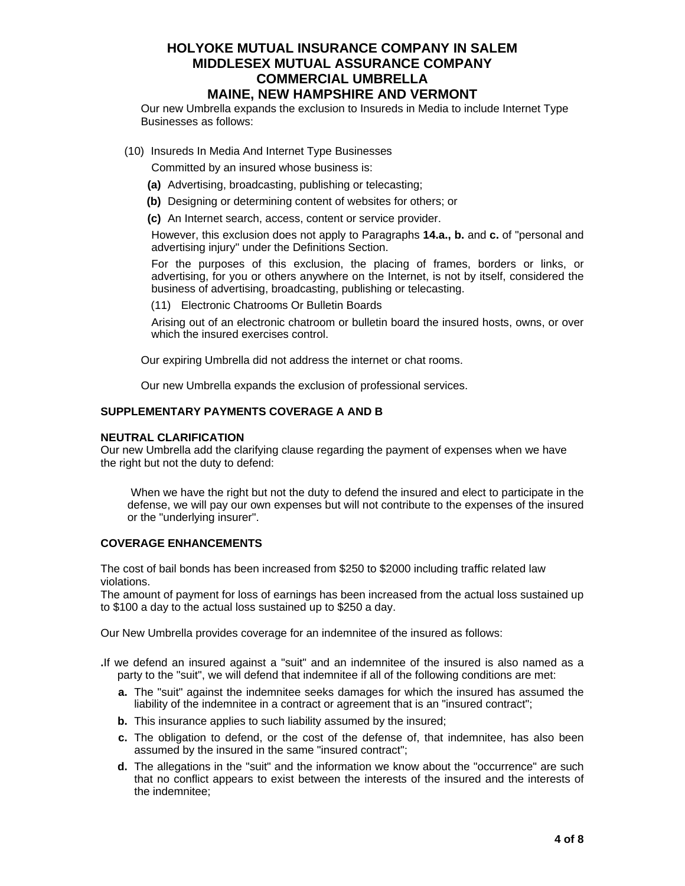Our new Umbrella expands the exclusion to Insureds in Media to include Internet Type Businesses as follows:

(10) Insureds In Media And Internet Type Businesses

Committed by an insured whose business is:

- **(a)** Advertising, broadcasting, publishing or telecasting;
- **(b)** Designing or determining content of websites for others; or
- **(c)** An Internet search, access, content or service provider.

However, this exclusion does not apply to Paragraphs **14.a., b.** and **c.** of "personal and advertising injury" under the Definitions Section.

For the purposes of this exclusion, the placing of frames, borders or links, or advertising, for you or others anywhere on the Internet, is not by itself, considered the business of advertising, broadcasting, publishing or telecasting.

(11) Electronic Chatrooms Or Bulletin Boards

Arising out of an electronic chatroom or bulletin board the insured hosts, owns, or over which the insured exercises control.

Our expiring Umbrella did not address the internet or chat rooms.

Our new Umbrella expands the exclusion of professional services.

### **SUPPLEMENTARY PAYMENTS COVERAGE A AND B**

#### **NEUTRAL CLARIFICATION**

Our new Umbrella add the clarifying clause regarding the payment of expenses when we have the right but not the duty to defend:

When we have the right but not the duty to defend the insured and elect to participate in the defense, we will pay our own expenses but will not contribute to the expenses of the insured or the "underlying insurer".

### **COVERAGE ENHANCEMENTS**

The cost of bail bonds has been increased from \$250 to \$2000 including traffic related law violations.

The amount of payment for loss of earnings has been increased from the actual loss sustained up to \$100 a day to the actual loss sustained up to \$250 a day.

Our New Umbrella provides coverage for an indemnitee of the insured as follows:

- **.**If we defend an insured against a "suit" and an indemnitee of the insured is also named as a party to the "suit", we will defend that indemnitee if all of the following conditions are met:
	- **a.** The "suit" against the indemnitee seeks damages for which the insured has assumed the liability of the indemnitee in a contract or agreement that is an "insured contract";
	- **b.** This insurance applies to such liability assumed by the insured;
	- **c.** The obligation to defend, or the cost of the defense of, that indemnitee, has also been assumed by the insured in the same "insured contract";
	- **d.** The allegations in the "suit" and the information we know about the "occurrence" are such that no conflict appears to exist between the interests of the insured and the interests of the indemnitee;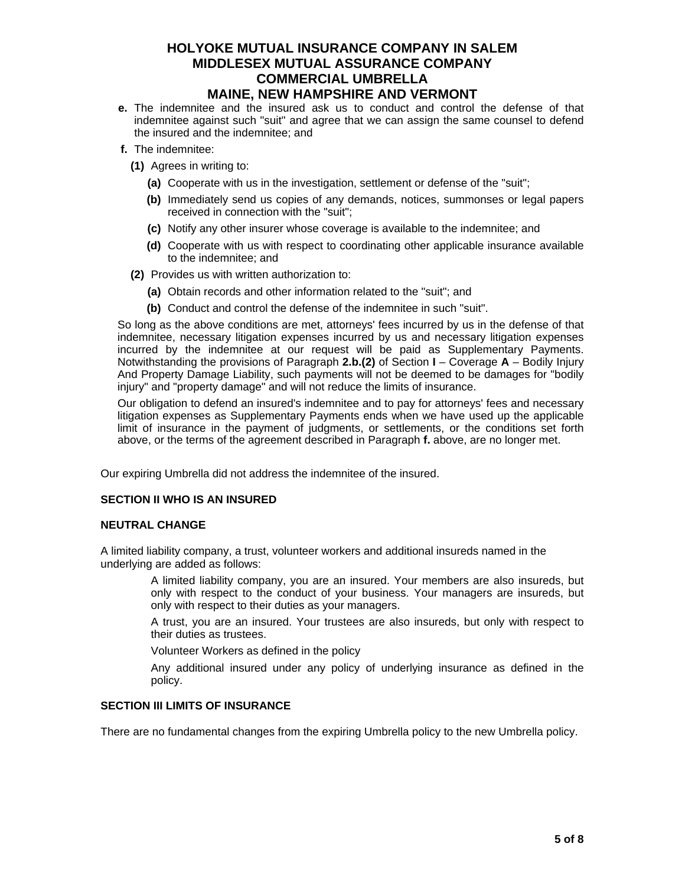- **e.** The indemnitee and the insured ask us to conduct and control the defense of that indemnitee against such "suit" and agree that we can assign the same counsel to defend the insured and the indemnitee; and
- **f.** The indemnitee:
	- **(1)** Agrees in writing to:
		- **(a)** Cooperate with us in the investigation, settlement or defense of the "suit";
		- **(b)** Immediately send us copies of any demands, notices, summonses or legal papers received in connection with the "suit";
		- **(c)** Notify any other insurer whose coverage is available to the indemnitee; and
		- **(d)** Cooperate with us with respect to coordinating other applicable insurance available to the indemnitee; and
	- **(2)** Provides us with written authorization to:
		- **(a)** Obtain records and other information related to the "suit"; and
		- **(b)** Conduct and control the defense of the indemnitee in such "suit".

So long as the above conditions are met, attorneys' fees incurred by us in the defense of that indemnitee, necessary litigation expenses incurred by us and necessary litigation expenses incurred by the indemnitee at our request will be paid as Supplementary Payments. Notwithstanding the provisions of Paragraph **2.b.(2)** of Section **I** – Coverage **A** – Bodily Injury And Property Damage Liability, such payments will not be deemed to be damages for "bodily injury" and "property damage" and will not reduce the limits of insurance.

Our obligation to defend an insured's indemnitee and to pay for attorneys' fees and necessary litigation expenses as Supplementary Payments ends when we have used up the applicable limit of insurance in the payment of judgments, or settlements, or the conditions set forth above, or the terms of the agreement described in Paragraph **f.** above, are no longer met.

Our expiring Umbrella did not address the indemnitee of the insured.

#### **SECTION II WHO IS AN INSURED**

#### **NEUTRAL CHANGE**

A limited liability company, a trust, volunteer workers and additional insureds named in the underlying are added as follows:

> A limited liability company, you are an insured. Your members are also insureds, but only with respect to the conduct of your business. Your managers are insureds, but only with respect to their duties as your managers.

> A trust, you are an insured. Your trustees are also insureds, but only with respect to their duties as trustees.

Volunteer Workers as defined in the policy

 Any additional insured under any policy of underlying insurance as defined in the policy.

#### **SECTION III LIMITS OF INSURANCE**

There are no fundamental changes from the expiring Umbrella policy to the new Umbrella policy.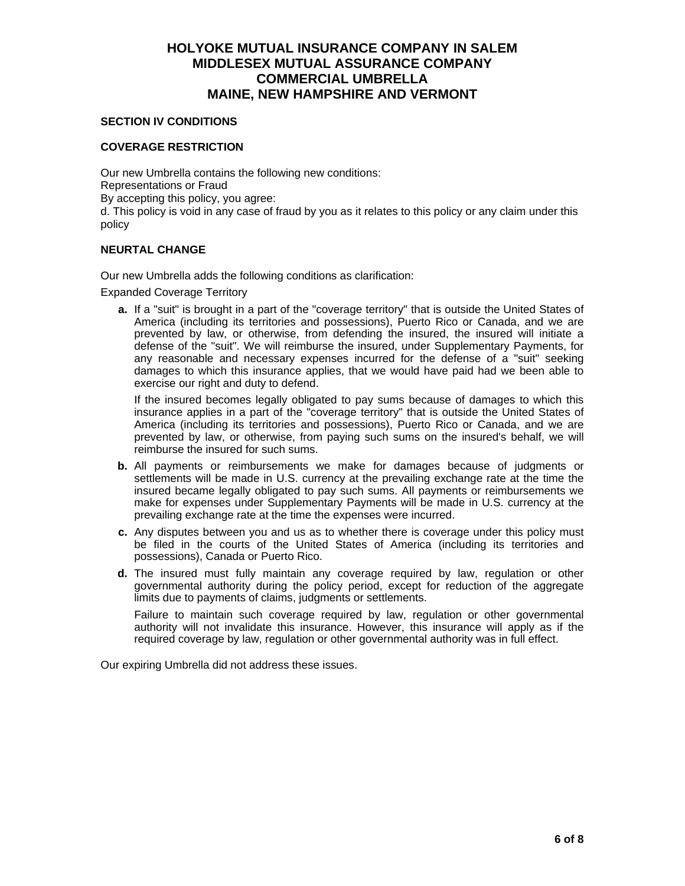### **SECTION IV CONDITIONS**

### **COVERAGE RESTRICTION**

Our new Umbrella contains the following new conditions: Representations or Fraud By accepting this policy, you agree: d. This policy is void in any case of fraud by you as it relates to this policy or any claim under this policy

### **NEURTAL CHANGE**

Our new Umbrella adds the following conditions as clarification:

Expanded Coverage Territory

 **a.** If a "suit" is brought in a part of the "coverage territory" that is outside the United States of America (including its territories and possessions), Puerto Rico or Canada, and we are prevented by law, or otherwise, from defending the insured, the insured will initiate a defense of the "suit". We will reimburse the insured, under Supplementary Payments, for any reasonable and necessary expenses incurred for the defense of a "suit" seeking damages to which this insurance applies, that we would have paid had we been able to exercise our right and duty to defend.

If the insured becomes legally obligated to pay sums because of damages to which this insurance applies in a part of the "coverage territory" that is outside the United States of America (including its territories and possessions), Puerto Rico or Canada, and we are prevented by law, or otherwise, from paying such sums on the insured's behalf, we will reimburse the insured for such sums.

- **b.** All payments or reimbursements we make for damages because of judgments or settlements will be made in U.S. currency at the prevailing exchange rate at the time the insured became legally obligated to pay such sums. All payments or reimbursements we make for expenses under Supplementary Payments will be made in U.S. currency at the prevailing exchange rate at the time the expenses were incurred.
- **c.** Any disputes between you and us as to whether there is coverage under this policy must be filed in the courts of the United States of America (including its territories and possessions), Canada or Puerto Rico.
- **d.** The insured must fully maintain any coverage required by law, regulation or other governmental authority during the policy period, except for reduction of the aggregate limits due to payments of claims, judgments or settlements.

Failure to maintain such coverage required by law, regulation or other governmental authority will not invalidate this insurance. However, this insurance will apply as if the required coverage by law, regulation or other governmental authority was in full effect.

Our expiring Umbrella did not address these issues.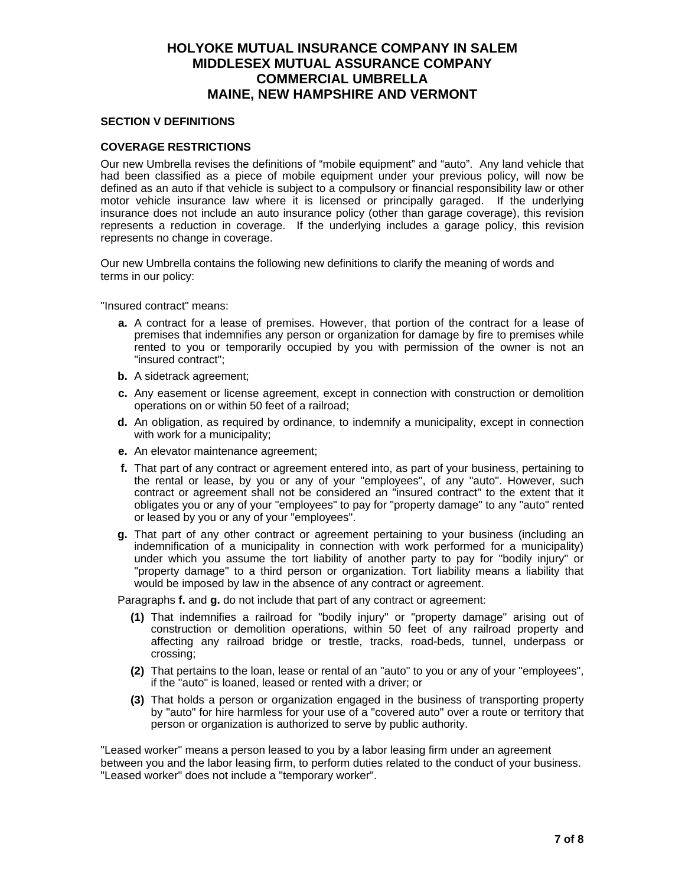### **SECTION V DEFINITIONS**

### **COVERAGE RESTRICTIONS**

Our new Umbrella revises the definitions of "mobile equipment" and "auto". Any land vehicle that had been classified as a piece of mobile equipment under your previous policy, will now be defined as an auto if that vehicle is subject to a compulsory or financial responsibility law or other motor vehicle insurance law where it is licensed or principally garaged. If the underlying insurance does not include an auto insurance policy (other than garage coverage), this revision represents a reduction in coverage. If the underlying includes a garage policy, this revision represents no change in coverage.

Our new Umbrella contains the following new definitions to clarify the meaning of words and terms in our policy:

"Insured contract" means:

- **a.** A contract for a lease of premises. However, that portion of the contract for a lease of premises that indemnifies any person or organization for damage by fire to premises while rented to you or temporarily occupied by you with permission of the owner is not an "insured contract";
- **b.** A sidetrack agreement;
- **c.** Any easement or license agreement, except in connection with construction or demolition operations on or within 50 feet of a railroad;
- **d.** An obligation, as required by ordinance, to indemnify a municipality, except in connection with work for a municipality;
- **e.** An elevator maintenance agreement;
- **f.** That part of any contract or agreement entered into, as part of your business, pertaining to the rental or lease, by you or any of your "employees", of any "auto". However, such contract or agreement shall not be considered an "insured contract" to the extent that it obligates you or any of your "employees" to pay for "property damage" to any "auto" rented or leased by you or any of your "employees".
- **g.** That part of any other contract or agreement pertaining to your business (including an indemnification of a municipality in connection with work performed for a municipality) under which you assume the tort liability of another party to pay for "bodily injury" or "property damage" to a third person or organization. Tort liability means a liability that would be imposed by law in the absence of any contract or agreement.

Paragraphs **f.** and **g.** do not include that part of any contract or agreement:

- **(1)** That indemnifies a railroad for "bodily injury" or "property damage" arising out of construction or demolition operations, within 50 feet of any railroad property and affecting any railroad bridge or trestle, tracks, road-beds, tunnel, underpass or crossing;
- **(2)** That pertains to the loan, lease or rental of an "auto" to you or any of your "employees", if the "auto" is loaned, leased or rented with a driver; or
- **(3)** That holds a person or organization engaged in the business of transporting property by "auto" for hire harmless for your use of a "covered auto" over a route or territory that person or organization is authorized to serve by public authority.

"Leased worker" means a person leased to you by a labor leasing firm under an agreement between you and the labor leasing firm, to perform duties related to the conduct of your business. "Leased worker" does not include a "temporary worker".